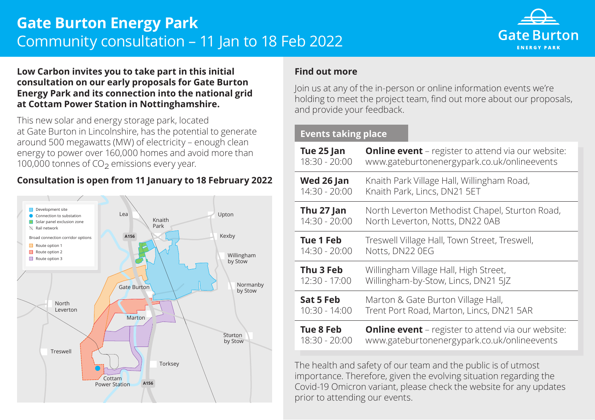# **Gate Burton Energy Park** Community consultation – 11 Jan to 18 Feb 2022



#### **Low Carbon invites you to take part in this initial consultation on our early proposals for Gate Burton Energy Park and its connection into the national grid at Cottam Power Station in Nottinghamshire.**

This new solar and energy storage park, located at Gate Burton in Lincolnshire, has the potential to generate around 500 megawatts (MW) of electricity – enough clean **After Lines.** energy to power over 160,000 homes and avoid more than 100,000 tonnes of  $CO<sub>2</sub>$  emissions every year.

## **Consultation is open from 11 January to 18 February 2022**



#### **Find out more**

Join us at any of the in-person or online information events we're holding to meet the project team, find out more about our proposals, and provide your feedback.

### **Events taking place**

| Tue 25 Jan    | <b>Online event</b> - register to attend via our website: |
|---------------|-----------------------------------------------------------|
| 18:30 - 20:00 | www.gateburtonenergypark.co.uk/onlineevents               |
| Wed 26 Jan    | Knaith Park Village Hall, Willingham Road,                |
| 14:30 - 20:00 | Knaith Park, Lincs, DN21 5ET                              |
| Thu 27 Jan    | North Leverton Methodist Chapel, Sturton Road,            |
| 14:30 - 20:00 | North Leverton, Notts, DN22 0AB                           |
| Tue 1 Feb     | Treswell Village Hall, Town Street, Treswell,             |
| 14:30 - 20:00 | Notts, DN22 0EG                                           |
| Thu 3 Feb     | Willingham Village Hall, High Street,                     |
| 12:30 - 17:00 | Willingham-by-Stow, Lincs, DN21 5JZ                       |
| Sat 5 Feb     | Marton & Gate Burton Village Hall,                        |
| 10:30 - 14:00 | Trent Port Road, Marton, Lincs, DN21 5AR                  |
| Tue 8 Feb     | <b>Online event</b> – register to attend via our website: |
| 18:30 - 20:00 | www.gateburtonenergypark.co.uk/onlineevents               |

The health and safety of our team and the public is of utmost importance. Therefore, given the evolving situation regarding the Covid-19 Omicron variant, please check the website for any updates prior to attending our events.